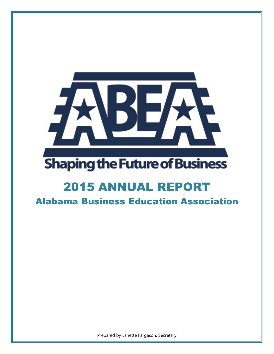

# **Shaping the Future of Business**

## 2015 ANNUAL REPORT

Alabama Business Education Association

Prepared by Lanette Fargason, Secretary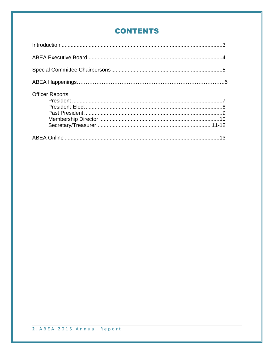## **CONTENTS**

| <b>Officer Reports</b> |  |
|------------------------|--|
|                        |  |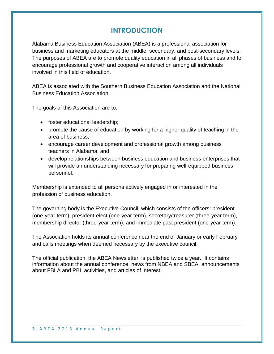## **INTRODUCTION**

Alabama Business Education Association (ABEA) is a professional association for business and marketing educators at the middle, secondary, and post-secondary levels. The purposes of ABEA are to promote quality education in all phases of business and to encourage professional growth and cooperative interaction among all individuals involved in this field of education.

ABEA is associated with the Southern Business Education Association and the National Business Education Association.

The goals of this Association are to:

- foster educational leadership;
- promote the cause of education by working for a higher quality of teaching in the area of business;
- encourage career development and professional growth among business teachers in Alabama; and
- develop relationships between business education and business enterprises that will provide an understanding necessary for preparing well-equipped business personnel.

Membership is extended to all persons actively engaged in or interested in the profession of business education.

The governing body is the Executive Council, which consists of the officers: president (one-year term), president-elect (one-year term), secretary/treasurer (three-year term), membership director (three-year term), and immediate past president (one-year term).

The Association holds its annual conference near the end of January or early February and calls meetings when deemed necessary by the executive council.

The official publication, the ABEA Newsletter, is published twice a year. It contains information about the annual conference, news from NBEA and SBEA, announcements about FBLA and PBL activities, and articles of interest.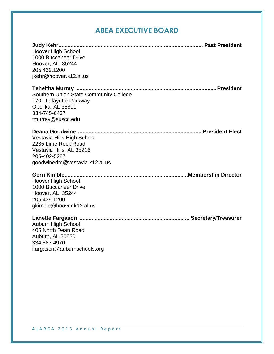## **ABEA EXECUTIVE BOARD**

| Hoover High School                     |  |
|----------------------------------------|--|
| 1000 Buccaneer Drive                   |  |
| Hoover, AL 35244                       |  |
| 205.439.1200                           |  |
| jkehr@hoover.k12.al.us                 |  |
|                                        |  |
| Southern Union State Community College |  |
| 1701 Lafayette Parkway                 |  |
| Opelika, AL 36801                      |  |
| 334-745-6437                           |  |
| tmurray@suscc.edu                      |  |
|                                        |  |
| Vestavia Hills High School             |  |
| 2235 Lime Rock Road                    |  |
| Vestavia Hills, AL 35216               |  |
| 205-402-5287                           |  |
| goodwinedm@vestavia.k12.al.us          |  |
|                                        |  |
| <b>Hoover High School</b>              |  |
| 1000 Buccaneer Drive                   |  |
| Hoover, AL 35244                       |  |
| 205.439.1200                           |  |
| gkimble@hoover.k12.al.us               |  |
|                                        |  |
| Auburn High School                     |  |
| 405 North Dean Road                    |  |
| Auburn, AL 36830                       |  |
| 334.887.4970                           |  |
| lfargason@auburnschools.org            |  |
|                                        |  |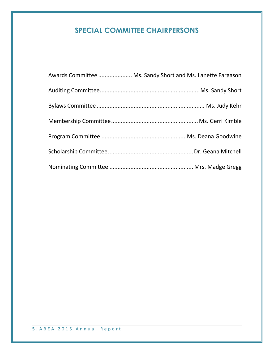## **SPECIAL COMMITTEE CHAIRPERSONS**

| Awards Committee  Ms. Sandy Short and Ms. Lanette Fargason |  |
|------------------------------------------------------------|--|
|                                                            |  |
|                                                            |  |
|                                                            |  |
|                                                            |  |
|                                                            |  |
|                                                            |  |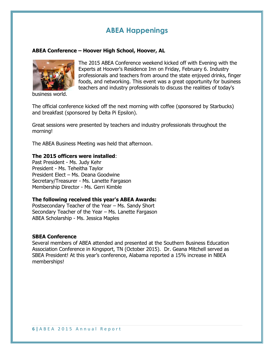## **ABEA Happenings**

#### **ABEA Conference – Hoover High School, Hoover, AL**



business world.

The 2015 ABEA Conference weekend kicked off with Evening with the Experts at Hoover's Residence Inn on Friday, February 6. Industry professionals and teachers from around the state enjoyed drinks, finger foods, and networking. This event was a great opportunity for business teachers and industry professionals to discuss the realities of today's

The official conference kicked off the next morning with coffee (sponsored by Starbucks) and breakfast (sponsored by Delta Pi Epsilon).

Great sessions were presented by teachers and industry professionals throughout the morning!

The ABEA Business Meeting was held that afternoon.

#### **The 2015 officers were installed**:

Past President - Ms. Judy Kehr President - Ms. Teheitha Taylor President Elect – Ms. Deana Goodwine Secretary/Treasurer - Ms. Lanette Fargason Membership Director - Ms. Gerri Kimble

#### **The following received this year's ABEA Awards:**

Postsecondary Teacher of the Year – Ms. Sandy Short Secondary Teacher of the Year – Ms. Lanette Fargason ABEA Scholarship - Ms. Jessica Maples

#### **SBEA Conference**

Several members of ABEA attended and presented at the Southern Business Education Association Conference in Kingsport, TN (October 2015). Dr. Geana Mitchell served as SBEA President! At this year's conference, Alabama reported a 15% increase in NBEA memberships!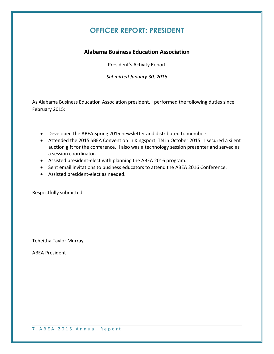## **OFFICER REPORT: PRESIDENT**

#### **Alabama Business Education Association**

President's Activity Report

*Submitted January 30, 2016*

As Alabama Business Education Association president, I performed the following duties since February 2015:

- Developed the ABEA Spring 2015 newsletter and distributed to members.
- Attended the 2015 SBEA Convention in Kingsport, TN in October 2015. I secured a silent auction gift for the conference. I also was a technology session presenter and served as a session coordinator.
- Assisted president-elect with planning the ABEA 2016 program.
- Sent email invitations to business educators to attend the ABEA 2016 Conference.
- Assisted president-elect as needed.

Respectfully submitted,

Teheitha Taylor Murray

ABEA President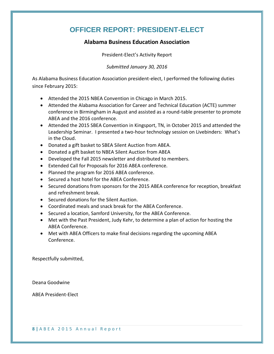## **OFFICER REPORT: PRESIDENT-ELECT**

#### **Alabama Business Education Association**

President-Elect's Activity Report

*Submitted January 30, 2016*

As Alabama Business Education Association president-elect, I performed the following duties since February 2015:

- Attended the 2015 NBEA Convention in Chicago in March 2015.
- Attended the Alabama Association for Career and Technical Education (ACTE) summer conference in Birmingham in August and assisted as a round-table presenter to promote ABEA and the 2016 conference.
- Attended the 2015 SBEA Convention in Kingsport, TN, in October 2015 and attended the Leadership Seminar. I presented a two-hour technology session on Livebinders: What's in the Cloud.
- Donated a gift basket to SBEA Silent Auction from ABEA.
- Donated a gift basket to NBEA Silent Auction from ABEA
- Developed the Fall 2015 newsletter and distributed to members.
- Extended Call for Proposals for 2016 ABEA conference.
- Planned the program for 2016 ABEA conference.
- Secured a host hotel for the ABEA Conference.
- Secured donations from sponsors for the 2015 ABEA conference for reception, breakfast and refreshment break.
- Secured donations for the Silent Auction.
- Coordinated meals and snack break for the ABEA Conference.
- Secured a location, Samford University, for the ABEA Conference.
- Met with the Past President, Judy Kehr, to determine a plan of action for hosting the ABEA Conference.
- Met with ABEA Officers to make final decisions regarding the upcoming ABEA Conference.

Respectfully submitted,

Deana Goodwine

ABEA President-Elect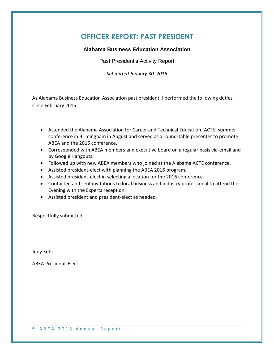#### **OFFICER REPORT: PAST PRESIDENT**

#### **Alabama Business Education Association**

Past President's Activity Report

*Submitted January 30, 2016*

As Alabama Business Education Association past president, I performed the following duties since February 2015:

- Attended the Alabama Association for Career and Technical Education (ACTE) summer conference in Birmingham in August and served as a round-table presenter to promote ABEA and the 2016 conference.
- Corresponded with ABEA members and executive board on a regular basis via-email and by Google Hangouts.
- Followed up with new ABEA members who joined at the Alabama ACTE conference.
- Assisted president-elect with planning the ABEA 2016 program.
- Assisted president-elect in selecting a location for the 2016 conference.
- Contacted and sent invitations to local business and industry professional to attend the Evening with the Experts reception.
- Assisted president and president-elect as needed.

Respectfully submitted,

Judy Kehr

ABEA President-Elect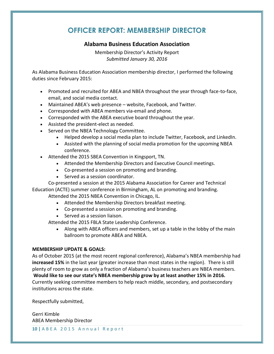## **OFFICER REPORT: MEMBERSHIP DIRECTOR**

#### **Alabama Business Education Association**

Membership Director's Activity Report *Submitted January 30, 2016*

As Alabama Business Education Association membership director, I performed the following duties since February 2015:

- Promoted and recruited for ABEA and NBEA throughout the year through face-to-face, email, and social media contact.
- Maintained ABEA's web presence website, Facebook, and Twitter.
- Corresponded with ABEA members via-email and phone.
- Corresponded with the ABEA executive board throughout the year.
- Assisted the president-elect as needed.
- Served on the NBEA Technology Committee.
	- Helped develop a social media plan to include Twitter, Facebook, and LinkedIn.
	- Assisted with the planning of social media promotion for the upcoming NBEA conference.
- Attended the 2015 SBEA Convention in Kingsport, TN.
	- Attended the Membership Directors and Executive Council meetings.
	- Co-presented a session on promoting and branding.
	- Served as a session coordinator.

Co-presented a session at the 2015 Alabama Association for Career and Technical

Education (ACTE) summer conference in Birmingham, AL on promoting and branding. Attended the 2015 NBEA Convention in Chicago, IL.

- Attended the Membership Directors breakfast meeting.
- Co-presented a session on promoting and branding.
- Served as a session liaison.

Attended the 2015 FBLA State Leadership Conference.

 Along with ABEA officers and members, set up a table in the lobby of the main ballroom to promote ABEA and NBEA.

#### **MEMBERSHIP UPDATE & GOALS:**

As of October 2015 (at the most recent regional conference), Alabama's NBEA membership had **increased 15%** in the last year (greater increase than most states in the region). There is still plenty of room to grow as only a fraction of Alabama's business teachers are NBEA members. **Would like to see our state's NBEA membership grow by at least another 15% in 2016.** Currently seeking committee members to help reach middle, secondary, and postsecondary institutions across the state.

Respectfully submitted,

Gerri Kimble ABEA Membership Director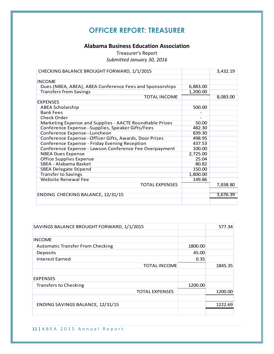## **OFFICER REPORT: TREASURER**

#### **Alabama Business Education Association**

Treasurer's Report *Submitted January 30, 2016*

| CHECKING BALANCE BROUGHT FORWARD, 1/1/2015               |          | 3,432.19 |
|----------------------------------------------------------|----------|----------|
|                                                          |          |          |
| <b>INCOME</b>                                            |          |          |
| Dues (NBEA, ABEA), ABEA Conference Fees and Sponsorships | 6,883.00 |          |
| <b>Transfers from Savings</b>                            | 1,200.00 |          |
| <b>TOTAL INCOME</b>                                      |          | 8,083.00 |
| <b>EXPENSES</b>                                          |          |          |
| <b>ABEA Scholarship</b>                                  | 500.00   |          |
| <b>Bank Fees</b>                                         |          |          |
| <b>Check Order</b>                                       |          |          |
| Marketing Expense and Supplies - AACTE Roundtable Prizes | 50.00    |          |
| Conference Expense--Supplies, Speaker Gifts/Fees         | 482.30   |          |
| Conference Expense--Luncheon                             | 839.30   |          |
| Conference Expense--Officer Gifts, Awards, Door Prizes   | 498.95   |          |
| Conference Expense - Friday Evening Reception            | 437.53   |          |
| Conference Expense - Lawson Conference Fee Overpayment   | 100.00   |          |
| <b>NBEA Dues Expense</b>                                 | 2,725.00 |          |
| <b>Office Supplies Expense</b>                           | 25.04    |          |
| SBEA - Alabama Basket                                    | 80.82    |          |
| <b>SBEA Delegate Stipend</b>                             | 150.00   |          |
| <b>Transfer to Savings</b>                               | 1,800.00 |          |
| <b>Website Renewal Fee</b>                               | 149.86   |          |
| <b>TOTAL EXPENSES</b>                                    |          | 7,838.80 |
|                                                          |          |          |
| ENDING CHECKING BALANCE, 12/31/15                        |          | 3,676.39 |
|                                                          |          |          |

| SAVINGS BALANCE BROUGHT FORWARD, 1/1/2015 |         | 577.34  |
|-------------------------------------------|---------|---------|
|                                           |         |         |
| <b>INCOME</b>                             |         |         |
| <b>Automatic Transfer From Checking</b>   | 1800.00 |         |
| Deposits                                  | 45.00   |         |
| <b>Interest Earned</b>                    | 0.35    |         |
| <b>TOTAL INCOME</b>                       |         | 1845.35 |
|                                           |         |         |
| <b>EXPENSES</b>                           |         |         |
| <b>Transfers to Checking</b>              | 1200.00 |         |
| <b>TOTAL EXPENSES</b>                     |         | 1200.00 |
|                                           |         |         |
| ENDING SAVINGS BALANCE, 12/31/15          |         | 1222.69 |
|                                           |         |         |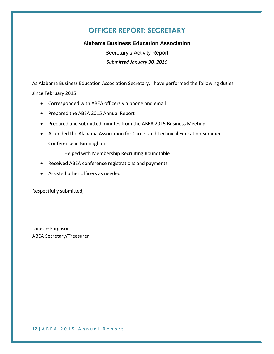## **OFFICER REPORT: SECRETARY**

#### **Alabama Business Education Association**

Secretary's Activity Report *Submitted January 30, 2016*

As Alabama Business Education Association Secretary, I have performed the following duties since February 2015:

- Corresponded with ABEA officers via phone and email
- Prepared the ABEA 2015 Annual Report
- Prepared and submitted minutes from the ABEA 2015 Business Meeting
- Attended the Alabama Association for Career and Technical Education Summer Conference in Birmingham
	- o Helped with Membership Recruiting Roundtable
- Received ABEA conference registrations and payments
- Assisted other officers as needed

Respectfully submitted,

Lanette Fargason ABEA Secretary/Treasurer